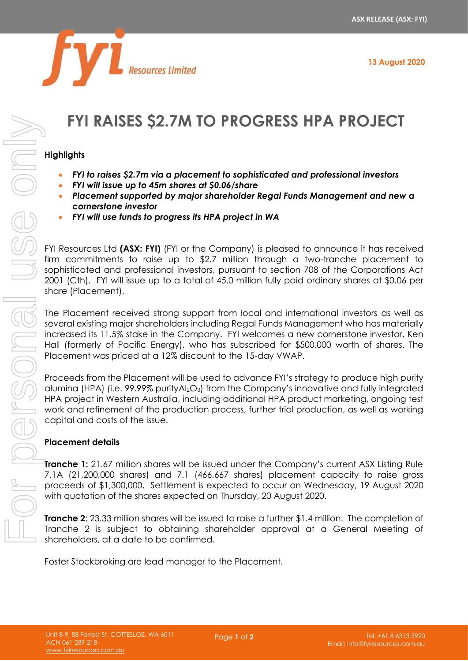

# **FYI RAISES \$2.7M TO PROGRESS HPA PROJECT**

#### **Highlights**

- *FYI to raises \$2.7m via a placement to sophisticated and professional investors*
- *FYI will issue up to 45m shares at \$0.06/share*

Resources Limited

- *Placement supported by major shareholder Regal Funds Management and new a cornerstone investor*
- *FYI will use funds to progress its HPA project in WA*

FYI Resources Ltd **(ASX: FYI)** (FYI or the Company) is pleased to announce it has received firm commitments to raise up to \$2.7 million through a two-tranche placement to sophisticated and professional investors, pursuant to section 708 of the Corporations Act 2001 (Cth). FYI will issue up to a total of 45.0 million fully paid ordinary shares at \$0.06 per share (Placement).

The Placement received strong support from local and international investors as well as several existing major shareholders including Regal Funds Management who has materially increased its 11.5% stake in the Company. FYI welcomes a new cornerstone investor, Ken Hall (formerly of Pacific Energy), who has subscribed for \$500,000 worth of shares. The Placement was priced at a 12% discount to the 15-day VWAP.

Proceeds from the Placement will be used to advance FYI's strategy to produce high purity alumina (HPA) (i.e. 99.99% purityAl2O3) from the Company's innovative and fully integrated HPA project in Western Australia, including additional HPA product marketing, ongoing test work and refinement of the production process, further trial production, as well as working capital and costs of the issue.

## **Placement details**

**Tranche 1:** 21.67 million shares will be issued under the Company's current ASX Listing Rule 7.1A (21,200,000 shares) and 7.1 (466,667 shares) placement capacity to raise gross proceeds of \$1,300,000. Settlement is expected to occur on Wednesday, 19 August 2020 with quotation of the shares expected on Thursday, 20 August 2020.

**Tranche 2**: 23.33 million shares will be issued to raise a further \$1.4 million. The completion of Tranche 2 is subject to obtaining shareholder approval at a General Meeting of shareholders, at a date to be confirmed.